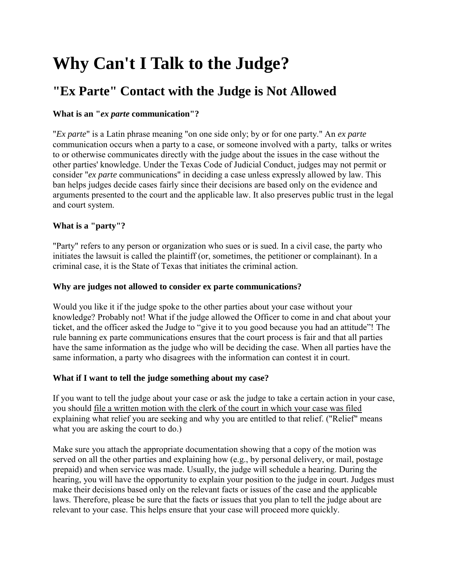# **Why Can't I Talk to the Judge?**

# **"Ex Parte" Contact with the Judge is Not Allowed**

# **What is an "***ex parte* **communication"?**

"*Ex parte*" is a Latin phrase meaning "on one side only; by or for one party." An *ex parte* communication occurs when a party to a case, or someone involved with a party, talks or writes to or otherwise communicates directly with the judge about the issues in the case without the other parties' knowledge. Under the Texas Code of Judicial Conduct, judges may not permit or consider "*ex parte* communications" in deciding a case unless expressly allowed by law. This ban helps judges decide cases fairly since their decisions are based only on the evidence and arguments presented to the court and the applicable law. It also preserves public trust in the legal and court system.

## **What is a "party"?**

"Party" refers to any person or organization who sues or is sued. In a civil case, the party who initiates the lawsuit is called the plaintiff (or, sometimes, the petitioner or complainant). In a criminal case, it is the State of Texas that initiates the criminal action.

#### **Why are judges not allowed to consider ex parte communications?**

Would you like it if the judge spoke to the other parties about your case without your knowledge? Probably not! What if the judge allowed the Officer to come in and chat about your ticket, and the officer asked the Judge to "give it to you good because you had an attitude"! The rule banning ex parte communications ensures that the court process is fair and that all parties have the same information as the judge who will be deciding the case. When all parties have the same information, a party who disagrees with the information can contest it in court.

## **What if I want to tell the judge something about my case?**

If you want to tell the judge about your case or ask the judge to take a certain action in your case, you should file a written motion with the clerk of the court in which your case was filed explaining what relief you are seeking and why you are entitled to that relief. ("Relief" means what you are asking the court to do.)

Make sure you attach the appropriate documentation showing that a copy of the motion was served on all the other parties and explaining how (e.g., by personal delivery, or mail, postage prepaid) and when service was made. Usually, the judge will schedule a hearing. During the hearing, you will have the opportunity to explain your position to the judge in court. Judges must make their decisions based only on the relevant facts or issues of the case and the applicable laws. Therefore, please be sure that the facts or issues that you plan to tell the judge about are relevant to your case. This helps ensure that your case will proceed more quickly.